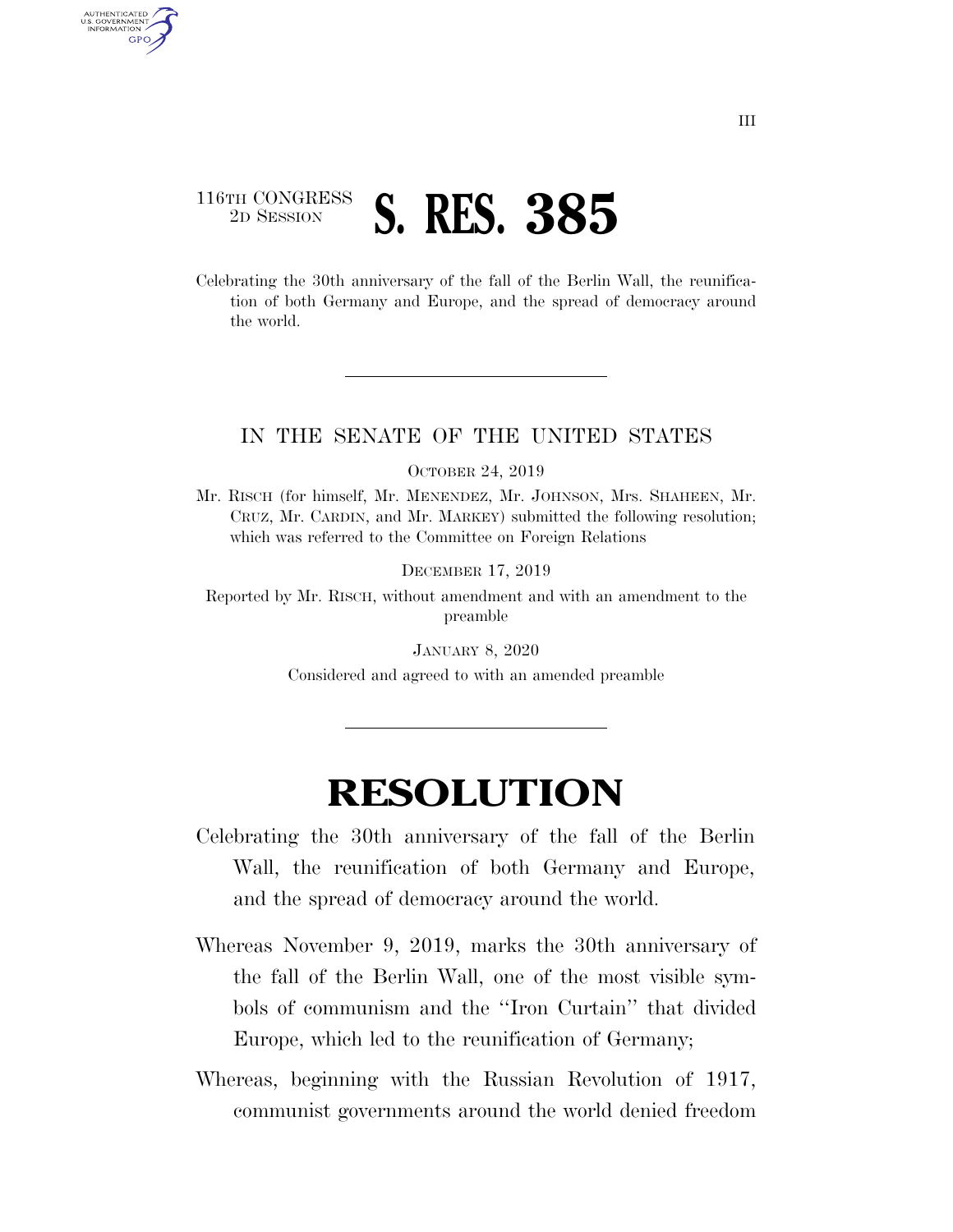## 116TH CONGRESS <sup>2D SESSION</sup> **S. RES. 385**

U.S. GOVERNMENT GPO

> Celebrating the 30th anniversary of the fall of the Berlin Wall, the reunification of both Germany and Europe, and the spread of democracy around the world.

## IN THE SENATE OF THE UNITED STATES

OCTOBER 24, 2019

Mr. RISCH (for himself, Mr. MENENDEZ, Mr. JOHNSON, Mrs. SHAHEEN, Mr. CRUZ, Mr. CARDIN, and Mr. MARKEY) submitted the following resolution; which was referred to the Committee on Foreign Relations

DECEMBER 17, 2019

Reported by Mr. RISCH, without amendment and with an amendment to the preamble

> JANUARY 8, 2020 Considered and agreed to with an amended preamble

## **RESOLUTION**

- Celebrating the 30th anniversary of the fall of the Berlin Wall, the reunification of both Germany and Europe, and the spread of democracy around the world.
- Whereas November 9, 2019, marks the 30th anniversary of the fall of the Berlin Wall, one of the most visible symbols of communism and the ''Iron Curtain'' that divided Europe, which led to the reunification of Germany;
- Whereas, beginning with the Russian Revolution of 1917, communist governments around the world denied freedom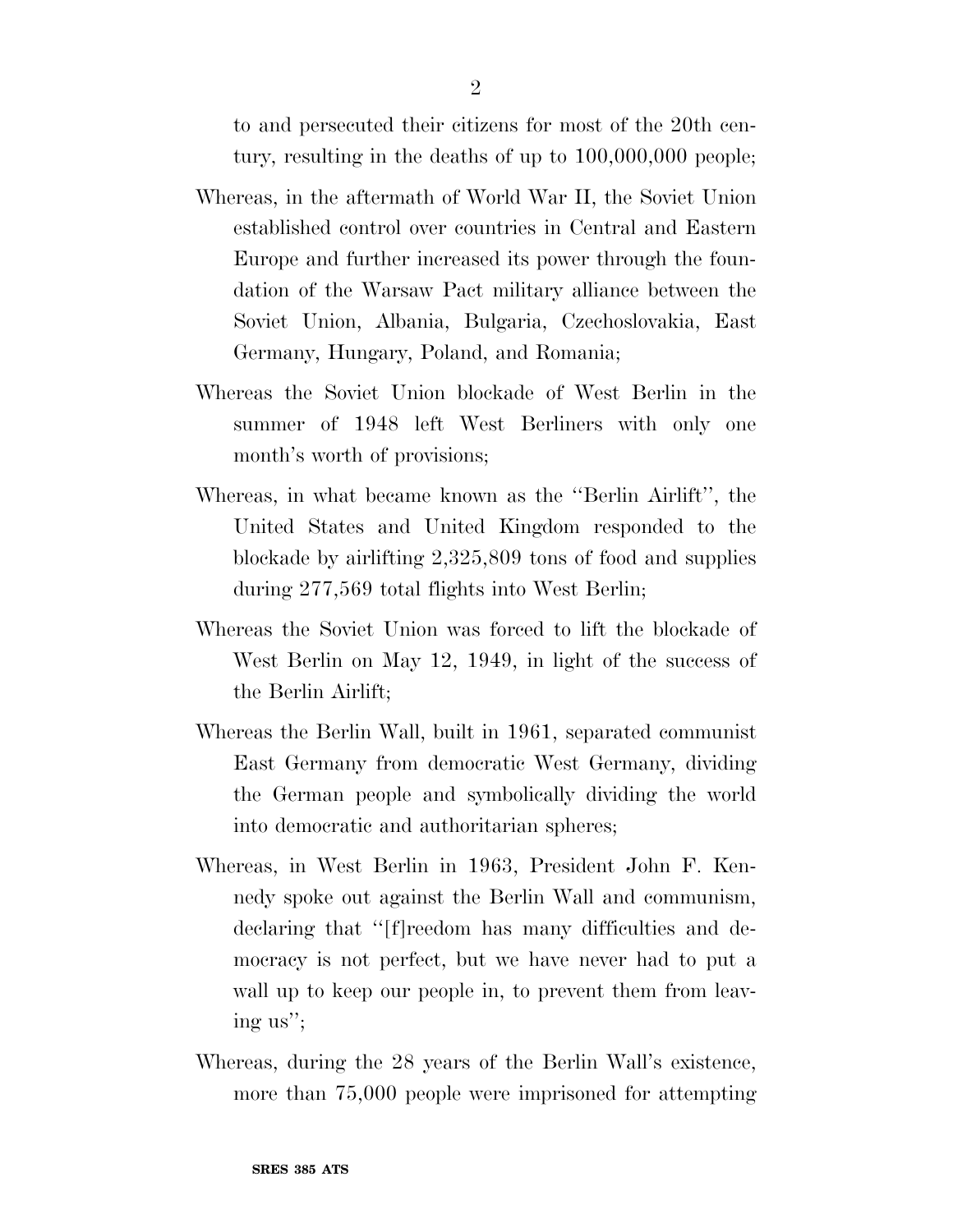to and persecuted their citizens for most of the 20th century, resulting in the deaths of up to 100,000,000 people;

- Whereas, in the aftermath of World War II, the Soviet Union established control over countries in Central and Eastern Europe and further increased its power through the foundation of the Warsaw Pact military alliance between the Soviet Union, Albania, Bulgaria, Czechoslovakia, East Germany, Hungary, Poland, and Romania;
- Whereas the Soviet Union blockade of West Berlin in the summer of 1948 left West Berliners with only one month's worth of provisions;
- Whereas, in what became known as the ''Berlin Airlift'', the United States and United Kingdom responded to the blockade by airlifting 2,325,809 tons of food and supplies during 277,569 total flights into West Berlin;
- Whereas the Soviet Union was forced to lift the blockade of West Berlin on May 12, 1949, in light of the success of the Berlin Airlift;
- Whereas the Berlin Wall, built in 1961, separated communist East Germany from democratic West Germany, dividing the German people and symbolically dividing the world into democratic and authoritarian spheres;
- Whereas, in West Berlin in 1963, President John F. Kennedy spoke out against the Berlin Wall and communism, declaring that ''[f]reedom has many difficulties and democracy is not perfect, but we have never had to put a wall up to keep our people in, to prevent them from leaving us'';
- Whereas, during the 28 years of the Berlin Wall's existence, more than 75,000 people were imprisoned for attempting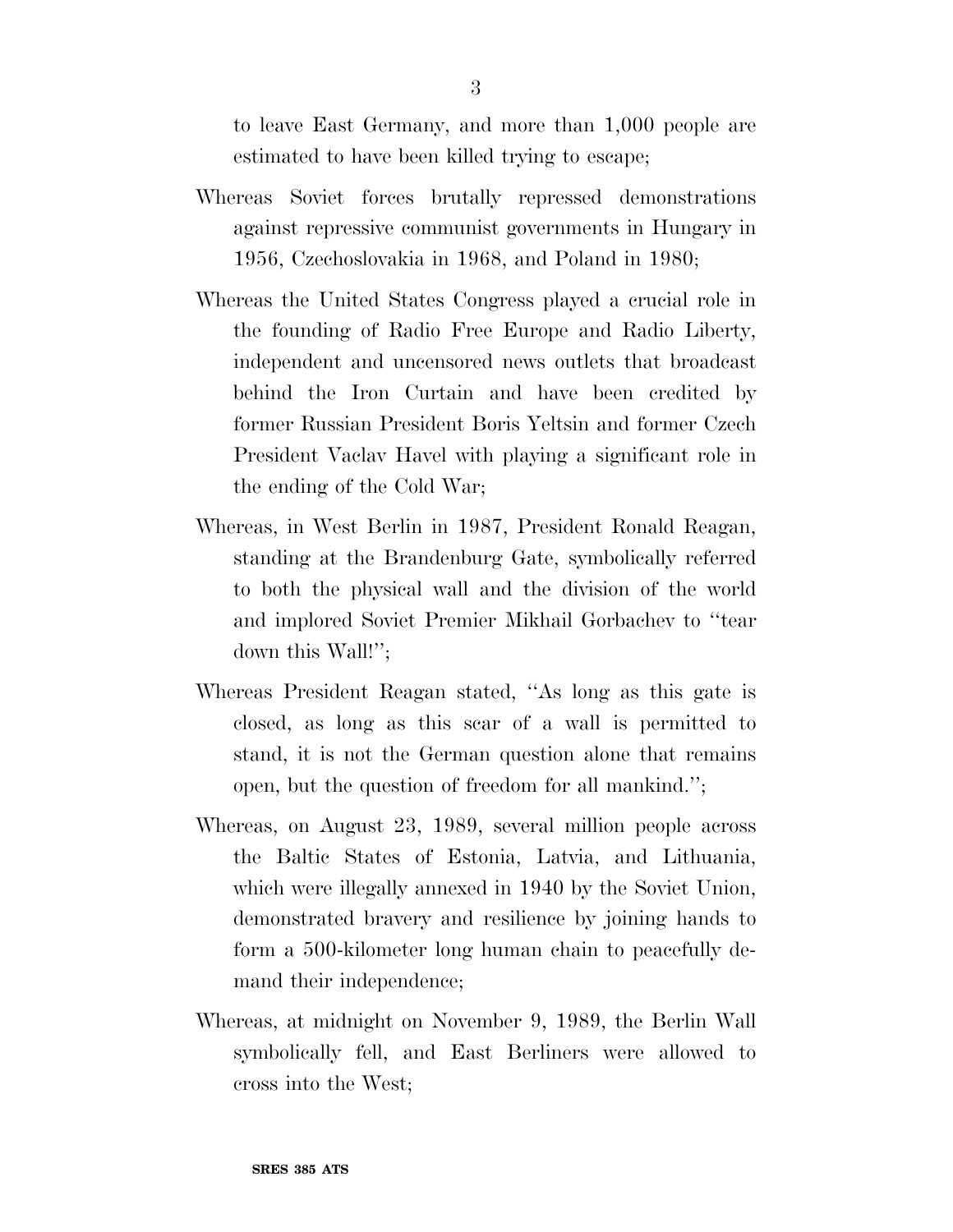to leave East Germany, and more than 1,000 people are estimated to have been killed trying to escape;

- Whereas Soviet forces brutally repressed demonstrations against repressive communist governments in Hungary in 1956, Czechoslovakia in 1968, and Poland in 1980;
- Whereas the United States Congress played a crucial role in the founding of Radio Free Europe and Radio Liberty, independent and uncensored news outlets that broadcast behind the Iron Curtain and have been credited by former Russian President Boris Yeltsin and former Czech President Vaclav Havel with playing a significant role in the ending of the Cold War;
- Whereas, in West Berlin in 1987, President Ronald Reagan, standing at the Brandenburg Gate, symbolically referred to both the physical wall and the division of the world and implored Soviet Premier Mikhail Gorbachev to ''tear down this Wall!'';
- Whereas President Reagan stated, ''As long as this gate is closed, as long as this scar of a wall is permitted to stand, it is not the German question alone that remains open, but the question of freedom for all mankind.'';
- Whereas, on August 23, 1989, several million people across the Baltic States of Estonia, Latvia, and Lithuania, which were illegally annexed in 1940 by the Soviet Union, demonstrated bravery and resilience by joining hands to form a 500-kilometer long human chain to peacefully demand their independence;
- Whereas, at midnight on November 9, 1989, the Berlin Wall symbolically fell, and East Berliners were allowed to cross into the West;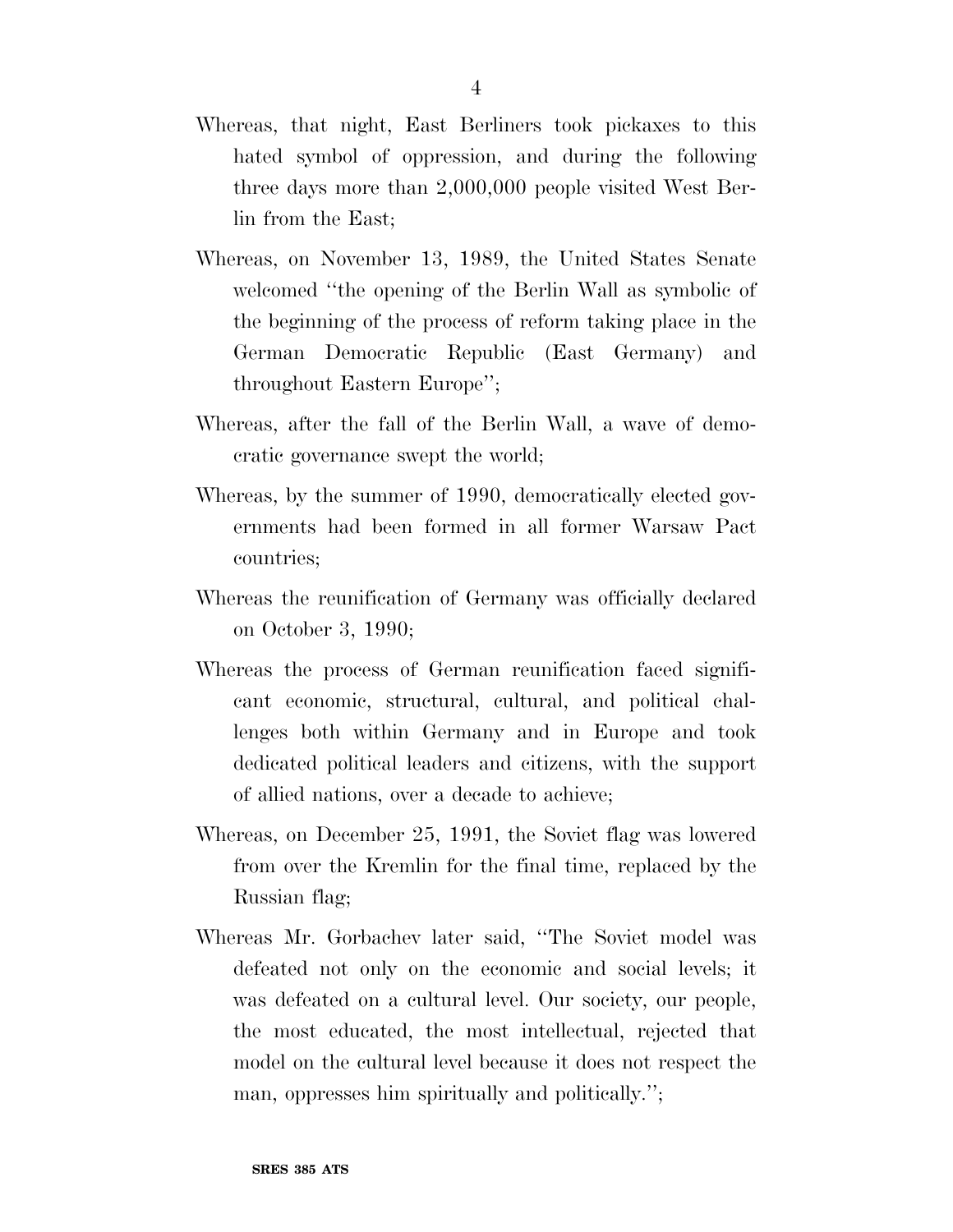- Whereas, that night, East Berliners took pickaxes to this hated symbol of oppression, and during the following three days more than 2,000,000 people visited West Berlin from the East;
- Whereas, on November 13, 1989, the United States Senate welcomed ''the opening of the Berlin Wall as symbolic of the beginning of the process of reform taking place in the German Democratic Republic (East Germany) and throughout Eastern Europe'';
- Whereas, after the fall of the Berlin Wall, a wave of democratic governance swept the world;
- Whereas, by the summer of 1990, democratically elected governments had been formed in all former Warsaw Pact countries;
- Whereas the reunification of Germany was officially declared on October 3, 1990;
- Whereas the process of German reunification faced significant economic, structural, cultural, and political challenges both within Germany and in Europe and took dedicated political leaders and citizens, with the support of allied nations, over a decade to achieve;
- Whereas, on December 25, 1991, the Soviet flag was lowered from over the Kremlin for the final time, replaced by the Russian flag;
- Whereas Mr. Gorbachev later said, ''The Soviet model was defeated not only on the economic and social levels; it was defeated on a cultural level. Our society, our people, the most educated, the most intellectual, rejected that model on the cultural level because it does not respect the man, oppresses him spiritually and politically.'';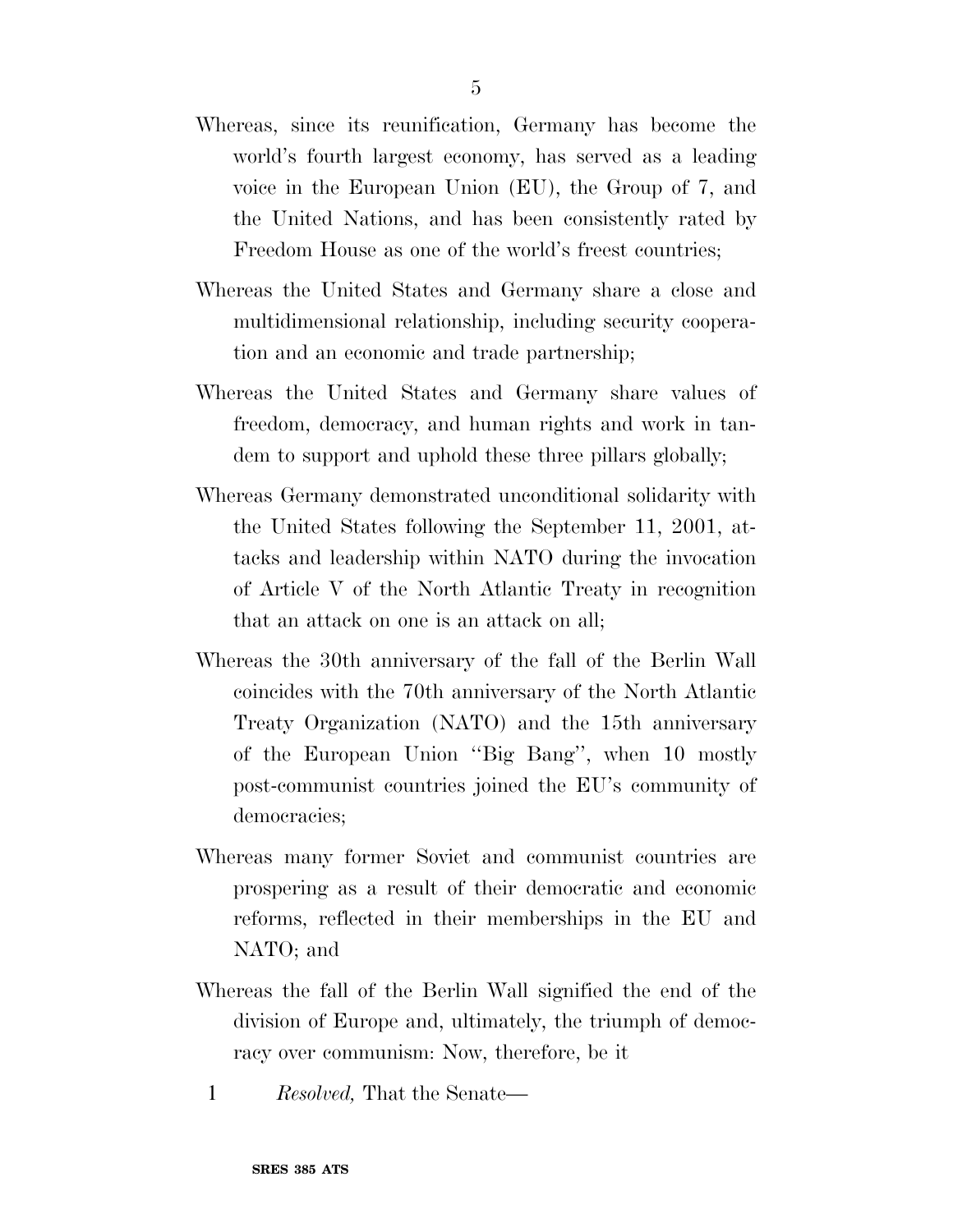- Whereas, since its reunification, Germany has become the world's fourth largest economy, has served as a leading voice in the European Union (EU), the Group of 7, and the United Nations, and has been consistently rated by Freedom House as one of the world's freest countries;
- Whereas the United States and Germany share a close and multidimensional relationship, including security cooperation and an economic and trade partnership;
- Whereas the United States and Germany share values of freedom, democracy, and human rights and work in tandem to support and uphold these three pillars globally;
- Whereas Germany demonstrated unconditional solidarity with the United States following the September 11, 2001, attacks and leadership within NATO during the invocation of Article V of the North Atlantic Treaty in recognition that an attack on one is an attack on all;
- Whereas the 30th anniversary of the fall of the Berlin Wall coincides with the 70th anniversary of the North Atlantic Treaty Organization (NATO) and the 15th anniversary of the European Union ''Big Bang'', when 10 mostly post-communist countries joined the EU's community of democracies;
- Whereas many former Soviet and communist countries are prospering as a result of their democratic and economic reforms, reflected in their memberships in the EU and NATO; and
- Whereas the fall of the Berlin Wall signified the end of the division of Europe and, ultimately, the triumph of democracy over communism: Now, therefore, be it
	- 1 *Resolved,* That the Senate—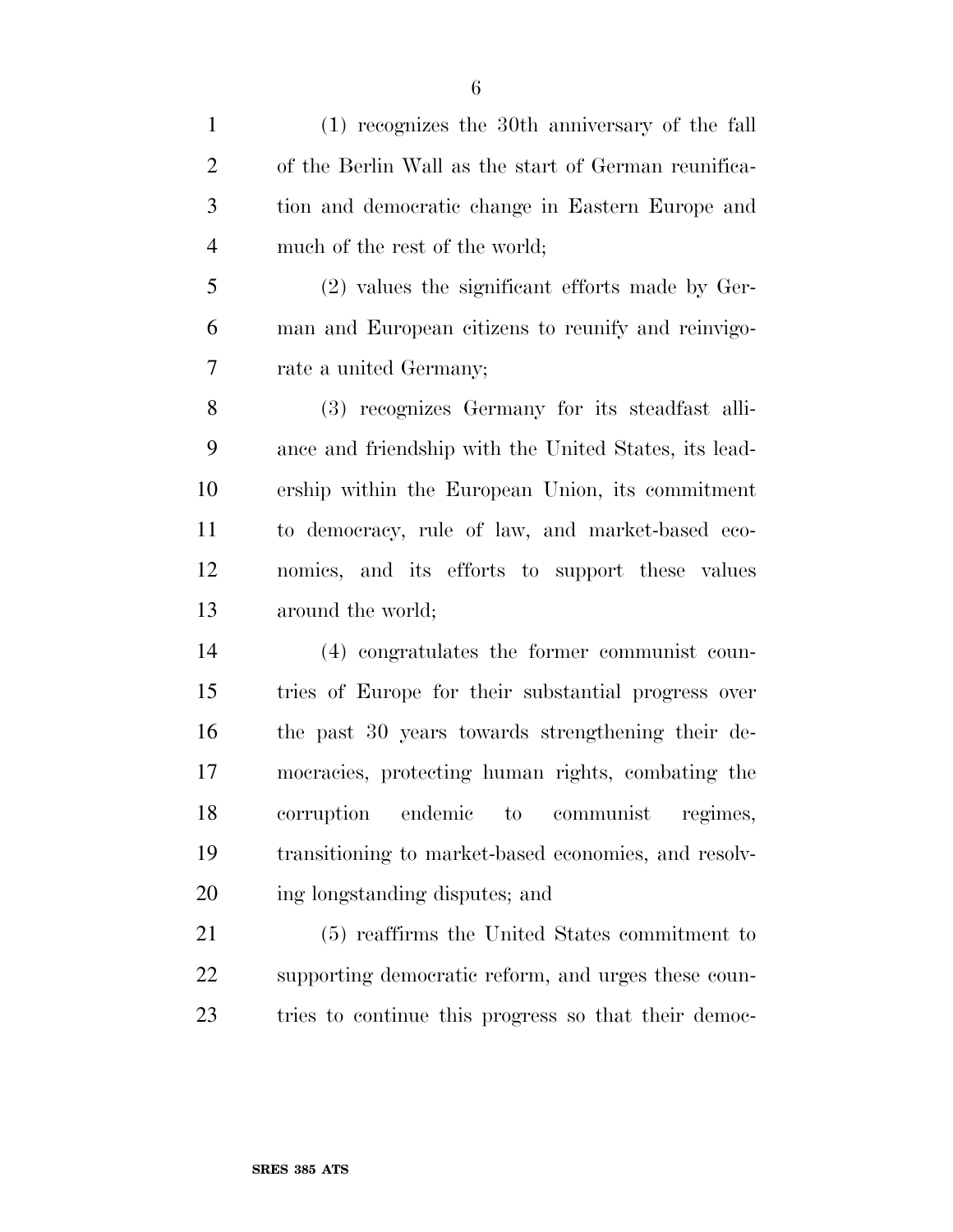(1) recognizes the 30th anniversary of the fall of the Berlin Wall as the start of German reunifica- tion and democratic change in Eastern Europe and much of the rest of the world;

 (2) values the significant efforts made by Ger- man and European citizens to reunify and reinvigo-rate a united Germany;

 (3) recognizes Germany for its steadfast alli- ance and friendship with the United States, its lead- ership within the European Union, its commitment to democracy, rule of law, and market-based eco- nomics, and its efforts to support these values around the world;

 (4) congratulates the former communist coun- tries of Europe for their substantial progress over the past 30 years towards strengthening their de- mocracies, protecting human rights, combating the corruption endemic to communist regimes, transitioning to market-based economies, and resolv-ing longstanding disputes; and

 (5) reaffirms the United States commitment to supporting democratic reform, and urges these coun-tries to continue this progress so that their democ-